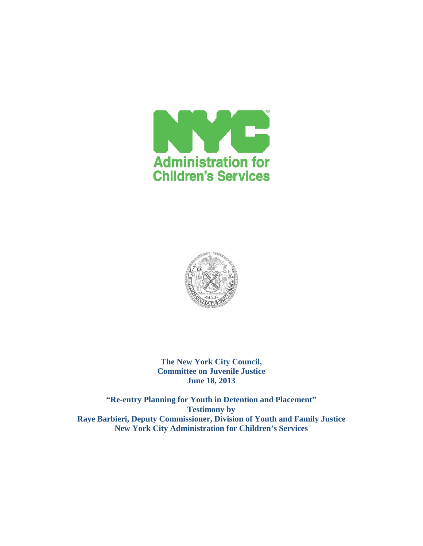



**The New York City Council, Committee on Juvenile Justice June 18, 2013**

**"Re-entry Planning for Youth in Detention and Placement" Testimony by Raye Barbieri, Deputy Commissioner, Division of Youth and Family Justice New York City Administration for Children's Services**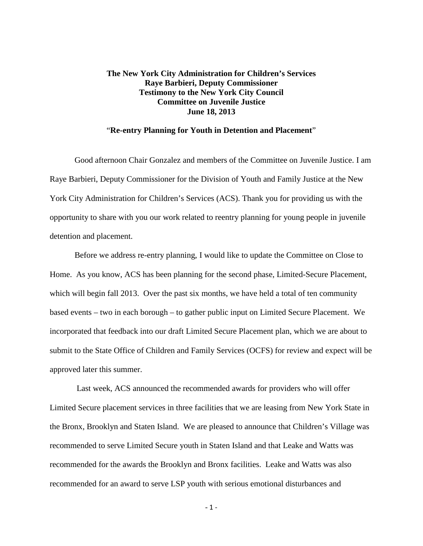# **The New York City Administration for Children's Services Raye Barbieri, Deputy Commissioner Testimony to the New York City Council Committee on Juvenile Justice June 18, 2013**

## "**Re-entry Planning for Youth in Detention and Placement**"

Good afternoon Chair Gonzalez and members of the Committee on Juvenile Justice. I am Raye Barbieri, Deputy Commissioner for the Division of Youth and Family Justice at the New York City Administration for Children's Services (ACS). Thank you for providing us with the opportunity to share with you our work related to reentry planning for young people in juvenile detention and placement.

Before we address re-entry planning, I would like to update the Committee on Close to Home. As you know, ACS has been planning for the second phase, Limited-Secure Placement, which will begin fall 2013. Over the past six months, we have held a total of ten community based events – two in each borough – to gather public input on Limited Secure Placement. We incorporated that feedback into our draft Limited Secure Placement plan, which we are about to submit to the State Office of Children and Family Services (OCFS) for review and expect will be approved later this summer.

Last week, ACS announced the recommended awards for providers who will offer Limited Secure placement services in three facilities that we are leasing from New York State in the Bronx, Brooklyn and Staten Island. We are pleased to announce that Children's Village was recommended to serve Limited Secure youth in Staten Island and that Leake and Watts was recommended for the awards the Brooklyn and Bronx facilities. Leake and Watts was also recommended for an award to serve LSP youth with serious emotional disturbances and

 $-1 -$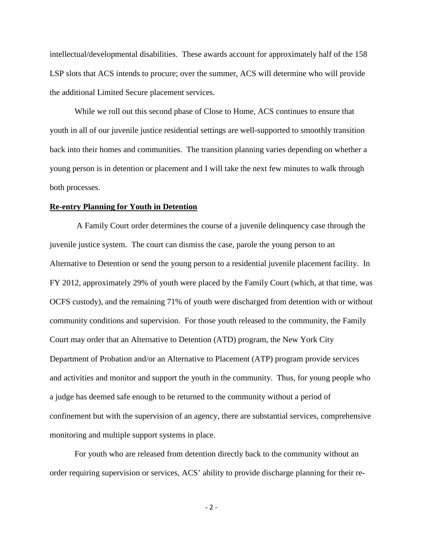intellectual/developmental disabilities. These awards account for approximately half of the 158 LSP slots that ACS intends to procure; over the summer, ACS will determine who will provide the additional Limited Secure placement services.

While we roll out this second phase of Close to Home, ACS continues to ensure that youth in all of our juvenile justice residential settings are well-supported to smoothly transition back into their homes and communities. The transition planning varies depending on whether a young person is in detention or placement and I will take the next few minutes to walk through both processes.

#### **Re-entry Planning for Youth in Detention**

A Family Court order determines the course of a juvenile delinquency case through the juvenile justice system. The court can dismiss the case, parole the young person to an Alternative to Detention or send the young person to a residential juvenile placement facility. In FY 2012, approximately 29% of youth were placed by the Family Court (which, at that time, was OCFS custody), and the remaining 71% of youth were discharged from detention with or without community conditions and supervision. For those youth released to the community, the Family Court may order that an Alternative to Detention (ATD) program, the New York City Department of Probation and/or an Alternative to Placement (ATP) program provide services and activities and monitor and support the youth in the community. Thus, for young people who a judge has deemed safe enough to be returned to the community without a period of confinement but with the supervision of an agency, there are substantial services, comprehensive monitoring and multiple support systems in place.

For youth who are released from detention directly back to the community without an order requiring supervision or services, ACS' ability to provide discharge planning for their re-

- 2 -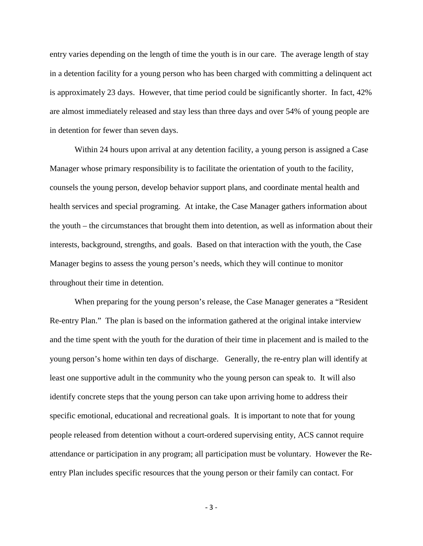entry varies depending on the length of time the youth is in our care. The average length of stay in a detention facility for a young person who has been charged with committing a delinquent act is approximately 23 days. However, that time period could be significantly shorter. In fact, 42% are almost immediately released and stay less than three days and over 54% of young people are in detention for fewer than seven days.

Within 24 hours upon arrival at any detention facility, a young person is assigned a Case Manager whose primary responsibility is to facilitate the orientation of youth to the facility, counsels the young person, develop behavior support plans, and coordinate mental health and health services and special programing. At intake, the Case Manager gathers information about the youth – the circumstances that brought them into detention, as well as information about their interests, background, strengths, and goals. Based on that interaction with the youth, the Case Manager begins to assess the young person's needs, which they will continue to monitor throughout their time in detention.

When preparing for the young person's release, the Case Manager generates a "Resident Re-entry Plan." The plan is based on the information gathered at the original intake interview and the time spent with the youth for the duration of their time in placement and is mailed to the young person's home within ten days of discharge. Generally, the re-entry plan will identify at least one supportive adult in the community who the young person can speak to. It will also identify concrete steps that the young person can take upon arriving home to address their specific emotional, educational and recreational goals. It is important to note that for young people released from detention without a court-ordered supervising entity, ACS cannot require attendance or participation in any program; all participation must be voluntary. However the Reentry Plan includes specific resources that the young person or their family can contact. For

- 3 -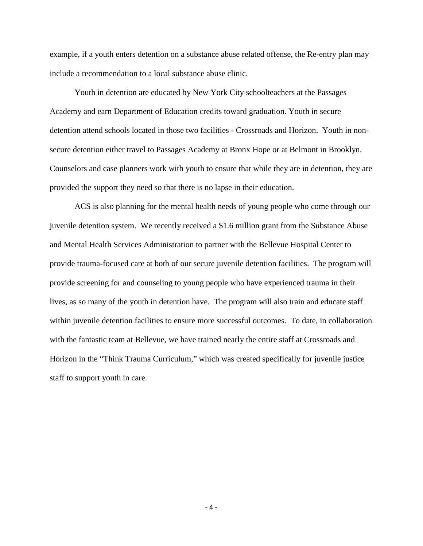example, if a youth enters detention on a substance abuse related offense, the Re-entry plan may include a recommendation to a local substance abuse clinic.

Youth in detention are educated by New York City schoolteachers at the Passages Academy and earn Department of Education credits toward graduation. Youth in secure detention attend schools located in those two facilities - Crossroads and Horizon. Youth in nonsecure detention either travel to Passages Academy at Bronx Hope or at Belmont in Brooklyn. Counselors and case planners work with youth to ensure that while they are in detention, they are provided the support they need so that there is no lapse in their education.

ACS is also planning for the mental health needs of young people who come through our juvenile detention system. We recently received a \$1.6 million grant from the Substance Abuse and Mental Health Services Administration to partner with the Bellevue Hospital Center to provide trauma-focused care at both of our secure juvenile detention facilities. The program will provide screening for and counseling to young people who have experienced trauma in their lives, as so many of the youth in detention have. The program will also train and educate staff within juvenile detention facilities to ensure more successful outcomes. To date, in collaboration with the fantastic team at Bellevue, we have trained nearly the entire staff at Crossroads and Horizon in the "Think Trauma Curriculum," which was created specifically for juvenile justice staff to support youth in care.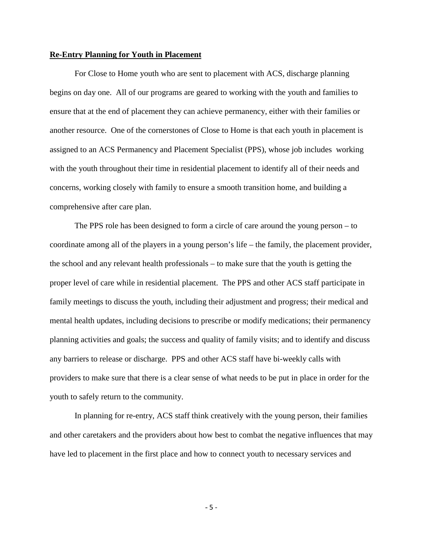## **Re-Entry Planning for Youth in Placement**

For Close to Home youth who are sent to placement with ACS, discharge planning begins on day one. All of our programs are geared to working with the youth and families to ensure that at the end of placement they can achieve permanency, either with their families or another resource. One of the cornerstones of Close to Home is that each youth in placement is assigned to an ACS Permanency and Placement Specialist (PPS), whose job includes working with the youth throughout their time in residential placement to identify all of their needs and concerns, working closely with family to ensure a smooth transition home, and building a comprehensive after care plan.

The PPS role has been designed to form a circle of care around the young person – to coordinate among all of the players in a young person's life – the family, the placement provider, the school and any relevant health professionals – to make sure that the youth is getting the proper level of care while in residential placement. The PPS and other ACS staff participate in family meetings to discuss the youth, including their adjustment and progress; their medical and mental health updates, including decisions to prescribe or modify medications; their permanency planning activities and goals; the success and quality of family visits; and to identify and discuss any barriers to release or discharge. PPS and other ACS staff have bi-weekly calls with providers to make sure that there is a clear sense of what needs to be put in place in order for the youth to safely return to the community.

In planning for re-entry, ACS staff think creatively with the young person, their families and other caretakers and the providers about how best to combat the negative influences that may have led to placement in the first place and how to connect youth to necessary services and

- 5 -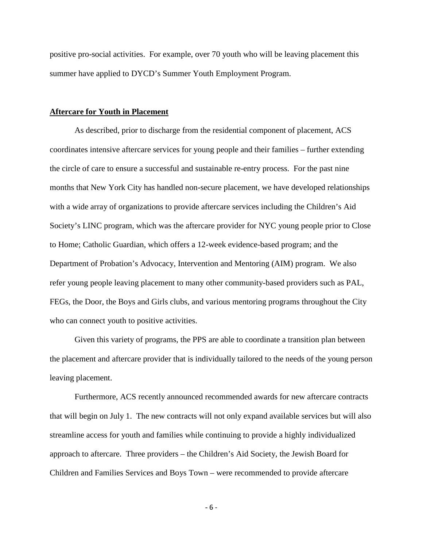positive pro-social activities. For example, over 70 youth who will be leaving placement this summer have applied to DYCD's Summer Youth Employment Program.

#### **Aftercare for Youth in Placement**

As described, prior to discharge from the residential component of placement, ACS coordinates intensive aftercare services for young people and their families – further extending the circle of care to ensure a successful and sustainable re-entry process. For the past nine months that New York City has handled non-secure placement, we have developed relationships with a wide array of organizations to provide aftercare services including the Children's Aid Society's LINC program, which was the aftercare provider for NYC young people prior to Close to Home; Catholic Guardian, which offers a 12-week evidence-based program; and the Department of Probation's Advocacy, Intervention and Mentoring (AIM) program. We also refer young people leaving placement to many other community-based providers such as PAL, FEGs, the Door, the Boys and Girls clubs, and various mentoring programs throughout the City who can connect youth to positive activities.

Given this variety of programs, the PPS are able to coordinate a transition plan between the placement and aftercare provider that is individually tailored to the needs of the young person leaving placement.

Furthermore, ACS recently announced recommended awards for new aftercare contracts that will begin on July 1. The new contracts will not only expand available services but will also streamline access for youth and families while continuing to provide a highly individualized approach to aftercare. Three providers – the Children's Aid Society, the Jewish Board for Children and Families Services and Boys Town – were recommended to provide aftercare

- 6 -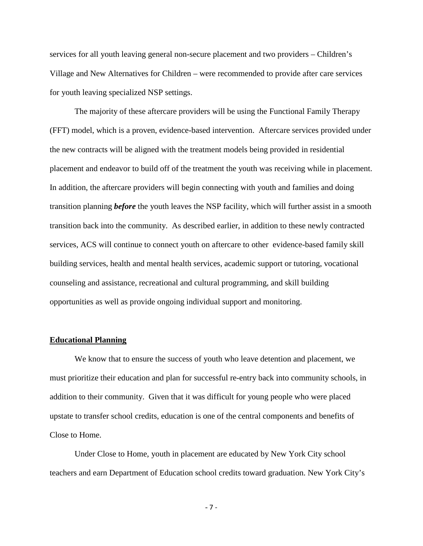services for all youth leaving general non-secure placement and two providers – Children's Village and New Alternatives for Children – were recommended to provide after care services for youth leaving specialized NSP settings.

The majority of these aftercare providers will be using the Functional Family Therapy (FFT) model, which is a proven, evidence-based intervention. Aftercare services provided under the new contracts will be aligned with the treatment models being provided in residential placement and endeavor to build off of the treatment the youth was receiving while in placement. In addition, the aftercare providers will begin connecting with youth and families and doing transition planning *before* the youth leaves the NSP facility, which will further assist in a smooth transition back into the community. As described earlier, in addition to these newly contracted services, ACS will continue to connect youth on aftercare to other evidence-based family skill building services, health and mental health services, academic support or tutoring, vocational counseling and assistance, recreational and cultural programming, and skill building opportunities as well as provide ongoing individual support and monitoring.

#### **Educational Planning**

We know that to ensure the success of youth who leave detention and placement, we must prioritize their education and plan for successful re-entry back into community schools, in addition to their community. Given that it was difficult for young people who were placed upstate to transfer school credits, education is one of the central components and benefits of Close to Home.

Under Close to Home, youth in placement are educated by New York City school teachers and earn Department of Education school credits toward graduation. New York City's

- 7 -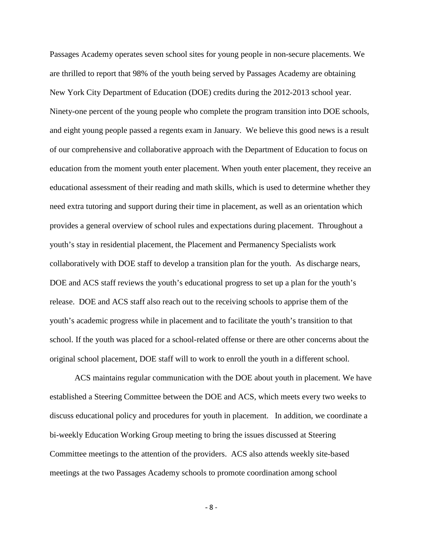Passages Academy operates seven school sites for young people in non-secure placements. We are thrilled to report that 98% of the youth being served by Passages Academy are obtaining New York City Department of Education (DOE) credits during the 2012-2013 school year. Ninety-one percent of the young people who complete the program transition into DOE schools, and eight young people passed a regents exam in January. We believe this good news is a result of our comprehensive and collaborative approach with the Department of Education to focus on education from the moment youth enter placement. When youth enter placement, they receive an educational assessment of their reading and math skills, which is used to determine whether they need extra tutoring and support during their time in placement, as well as an orientation which provides a general overview of school rules and expectations during placement. Throughout a youth's stay in residential placement, the Placement and Permanency Specialists work collaboratively with DOE staff to develop a transition plan for the youth. As discharge nears, DOE and ACS staff reviews the youth's educational progress to set up a plan for the youth's release. DOE and ACS staff also reach out to the receiving schools to apprise them of the youth's academic progress while in placement and to facilitate the youth's transition to that school. If the youth was placed for a school-related offense or there are other concerns about the original school placement, DOE staff will to work to enroll the youth in a different school.

ACS maintains regular communication with the DOE about youth in placement. We have established a Steering Committee between the DOE and ACS, which meets every two weeks to discuss educational policy and procedures for youth in placement. In addition, we coordinate a bi-weekly Education Working Group meeting to bring the issues discussed at Steering Committee meetings to the attention of the providers. ACS also attends weekly site-based meetings at the two Passages Academy schools to promote coordination among school

- 8 -